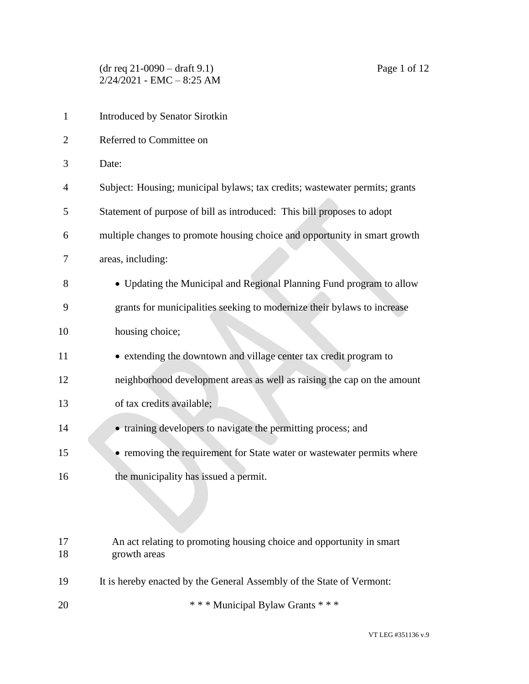(dr req 21-0090 – draft 9.1) Page 1 of 12 2/24/2021 - EMC – 8:25 AM

| $\mathbf{1}$   | Introduced by Senator Sirotkin                                                       |  |
|----------------|--------------------------------------------------------------------------------------|--|
| $\overline{2}$ | Referred to Committee on                                                             |  |
| 3              | Date:                                                                                |  |
| $\overline{4}$ | Subject: Housing; municipal bylaws; tax credits; wastewater permits; grants          |  |
| 5              | Statement of purpose of bill as introduced: This bill proposes to adopt              |  |
| 6              | multiple changes to promote housing choice and opportunity in smart growth           |  |
| 7              | areas, including:                                                                    |  |
| 8              | • Updating the Municipal and Regional Planning Fund program to allow                 |  |
| 9              | grants for municipalities seeking to modernize their bylaws to increase              |  |
| 10             | housing choice;                                                                      |  |
| 11             | • extending the downtown and village center tax credit program to                    |  |
| 12             | neighborhood development areas as well as raising the cap on the amount              |  |
| 13             | of tax credits available;                                                            |  |
| 14             | • training developers to navigate the permitting process; and                        |  |
| 15             | • removing the requirement for State water or wastewater permits where               |  |
| 16             | the municipality has issued a permit.                                                |  |
|                |                                                                                      |  |
|                |                                                                                      |  |
| 17<br>18       | An act relating to promoting housing choice and opportunity in smart<br>growth areas |  |
| 19             | It is hereby enacted by the General Assembly of the State of Vermont:                |  |
| 20             | *** Municipal Bylaw Grants ***                                                       |  |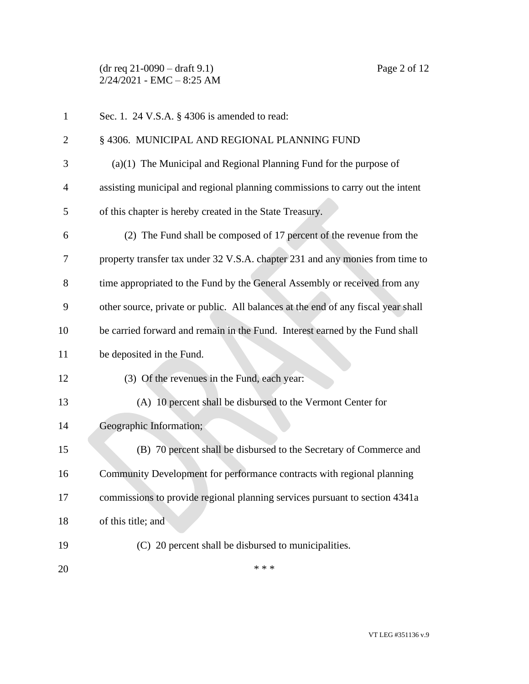(dr req 21-0090 – draft 9.1) Page 2 of 12  $2/24/2021$  - EMC - 8:25 AM

| $\mathbf{1}$   | Sec. 1. 24 V.S.A. § 4306 is amended to read:                                      |
|----------------|-----------------------------------------------------------------------------------|
| $\overline{2}$ | § 4306. MUNICIPAL AND REGIONAL PLANNING FUND                                      |
| 3              | $(a)(1)$ The Municipal and Regional Planning Fund for the purpose of              |
| $\overline{4}$ | assisting municipal and regional planning commissions to carry out the intent     |
| 5              | of this chapter is hereby created in the State Treasury.                          |
| 6              | (2) The Fund shall be composed of 17 percent of the revenue from the              |
| 7              | property transfer tax under 32 V.S.A. chapter 231 and any monies from time to     |
| 8              | time appropriated to the Fund by the General Assembly or received from any        |
| 9              | other source, private or public. All balances at the end of any fiscal year shall |
| 10             | be carried forward and remain in the Fund. Interest earned by the Fund shall      |
| 11             | be deposited in the Fund.                                                         |
| 12             | (3) Of the revenues in the Fund, each year:                                       |
| 13             | (A) 10 percent shall be disbursed to the Vermont Center for                       |
| 14             | Geographic Information;                                                           |
| 15             | (B) 70 percent shall be disbursed to the Secretary of Commerce and                |
| 16             | Community Development for performance contracts with regional planning            |
| 17             | commissions to provide regional planning services pursuant to section 4341a       |
| 18             | of this title; and                                                                |
| 19             | (C) 20 percent shall be disbursed to municipalities.                              |
| 20             | * * *                                                                             |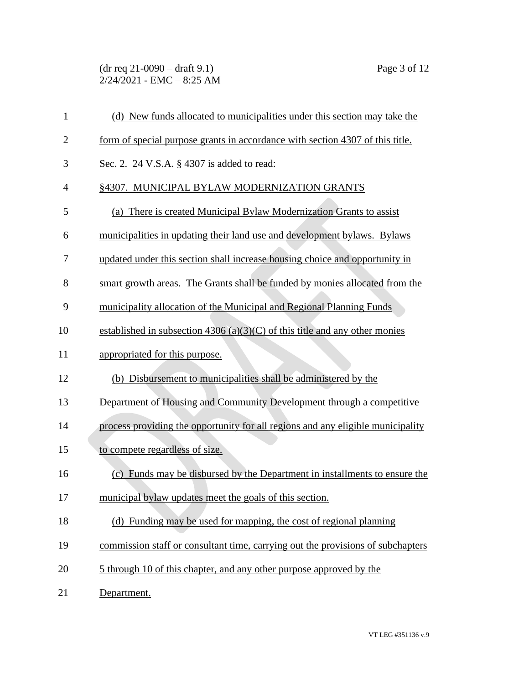(dr req 21-0090 – draft 9.1) Page 3 of 12 2/24/2021 - EMC – 8:25 AM

| $\mathbf{1}$   | (d) New funds allocated to municipalities under this section may take the       |
|----------------|---------------------------------------------------------------------------------|
| $\overline{2}$ | form of special purpose grants in accordance with section 4307 of this title.   |
| 3              | Sec. 2. 24 V.S.A. § 4307 is added to read:                                      |
| $\overline{4}$ | §4307. MUNICIPAL BYLAW MODERNIZATION GRANTS                                     |
| 5              | (a) There is created Municipal Bylaw Modernization Grants to assist             |
| 6              | municipalities in updating their land use and development bylaws. Bylaws        |
| 7              | updated under this section shall increase housing choice and opportunity in     |
| 8              | smart growth areas. The Grants shall be funded by monies allocated from the     |
| 9              | municipality allocation of the Municipal and Regional Planning Funds            |
| 10             | established in subsection $4306(a)(3)(C)$ of this title and any other monies    |
| 11             | appropriated for this purpose.                                                  |
| 12             | (b) Disbursement to municipalities shall be administered by the                 |
| 13             | Department of Housing and Community Development through a competitive           |
| 14             | process providing the opportunity for all regions and any eligible municipality |
| 15             | to compete regardless of size.                                                  |
| 16             | (c) Funds may be disbursed by the Department in installments to ensure the      |
| 17             | municipal bylaw updates meet the goals of this section.                         |
| 18             | (d) Funding may be used for mapping, the cost of regional planning              |
| 19             | commission staff or consultant time, carrying out the provisions of subchapters |
| 20             | 5 through 10 of this chapter, and any other purpose approved by the             |
| 21             | Department.                                                                     |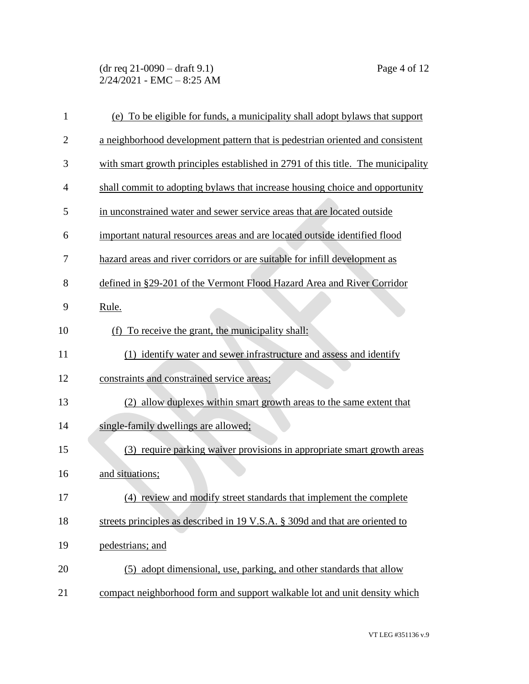(dr req 21-0090 – draft 9.1) Page 4 of 12 2/24/2021 - EMC – 8:25 AM

| $\mathbf{1}$   | (e) To be eligible for funds, a municipality shall adopt bylaws that support     |  |
|----------------|----------------------------------------------------------------------------------|--|
| $\overline{2}$ | a neighborhood development pattern that is pedestrian oriented and consistent    |  |
| 3              | with smart growth principles established in 2791 of this title. The municipality |  |
| 4              | shall commit to adopting bylaws that increase housing choice and opportunity     |  |
| 5              | in unconstrained water and sewer service areas that are located outside          |  |
| 6              | important natural resources areas and are located outside identified flood       |  |
| 7              | hazard areas and river corridors or are suitable for infill development as       |  |
| 8              | defined in §29-201 of the Vermont Flood Hazard Area and River Corridor           |  |
| 9              | Rule.                                                                            |  |
| 10             | To receive the grant, the municipality shall:<br>(f)                             |  |
| 11             | (1) identify water and sewer infrastructure and assess and identify              |  |
| 12             | constraints and constrained service areas;                                       |  |
| 13             | (2) allow duplexes within smart growth areas to the same extent that             |  |
| 14             | single-family dwellings are allowed;                                             |  |
| 15             | (3) require parking waiver provisions in appropriate smart growth areas          |  |
| 16             | and situations;                                                                  |  |
| 17             | (4) review and modify street standards that implement the complete               |  |
| 18             | streets principles as described in 19 V.S.A. § 309d and that are oriented to     |  |
| 19             | pedestrians; and                                                                 |  |
| 20             | (5) adopt dimensional, use, parking, and other standards that allow              |  |
| 21             | compact neighborhood form and support walkable lot and unit density which        |  |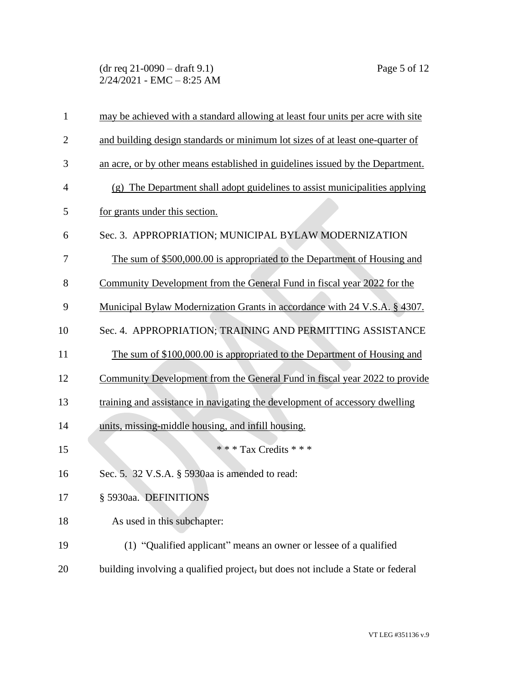(dr req 21-0090 – draft 9.1) Page 5 of 12  $2/24/2021$  - EMC - 8:25 AM

| $\mathbf{1}$   | may be achieved with a standard allowing at least four units per acre with site |
|----------------|---------------------------------------------------------------------------------|
| $\overline{2}$ | and building design standards or minimum lot sizes of at least one-quarter of   |
| 3              | an acre, or by other means established in guidelines issued by the Department.  |
| 4              | (g) The Department shall adopt guidelines to assist municipalities applying     |
| 5              | for grants under this section.                                                  |
| 6              | Sec. 3. APPROPRIATION; MUNICIPAL BYLAW MODERNIZATION                            |
| 7              | The sum of \$500,000.00 is appropriated to the Department of Housing and        |
| 8              | Community Development from the General Fund in fiscal year 2022 for the         |
| 9              | Municipal Bylaw Modernization Grants in accordance with 24 V.S.A. § 4307.       |
| 10             | Sec. 4. APPROPRIATION; TRAINING AND PERMITTING ASSISTANCE                       |
| 11             | The sum of \$100,000.00 is appropriated to the Department of Housing and        |
| 12             | Community Development from the General Fund in fiscal year 2022 to provide      |
| 13             | training and assistance in navigating the development of accessory dwelling     |
| 14             | units, missing-middle housing, and infill housing.                              |
| 15             | *** Tax Credits ***                                                             |
| 16             | Sec. 5. 32 V.S.A. § 5930aa is amended to read:                                  |
| 17             | § 5930aa. DEFINITIONS                                                           |
| 18             | As used in this subchapter:                                                     |
| 19             | (1) "Qualified applicant" means an owner or lessee of a qualified               |
| 20             | building involving a qualified project, but does not include a State or federal |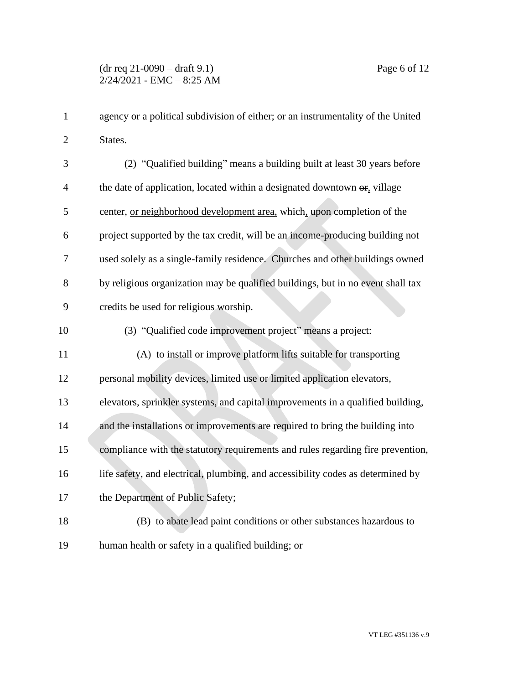| $\mathbf{1}$   | agency or a political subdivision of either; or an instrumentality of the United            |
|----------------|---------------------------------------------------------------------------------------------|
| $\overline{2}$ | States.                                                                                     |
| 3              | (2) "Qualified building" means a building built at least 30 years before                    |
| $\overline{4}$ | the date of application, located within a designated downtown $\Theta$ <sub>r</sub> village |
| 5              | center, or neighborhood development area, which, upon completion of the                     |
| 6              | project supported by the tax credit, will be an income-producing building not               |
| 7              | used solely as a single-family residence. Churches and other buildings owned                |
| 8              | by religious organization may be qualified buildings, but in no event shall tax             |
| 9              | credits be used for religious worship.                                                      |
| 10             | (3) "Qualified code improvement project" means a project:                                   |
| 11             | (A) to install or improve platform lifts suitable for transporting                          |
| 12             | personal mobility devices, limited use or limited application elevators,                    |
| 13             | elevators, sprinkler systems, and capital improvements in a qualified building,             |
| 14             | and the installations or improvements are required to bring the building into               |
| 15             | compliance with the statutory requirements and rules regarding fire prevention,             |
| 16             | life safety, and electrical, plumbing, and accessibility codes as determined by             |
| 17             | the Department of Public Safety;                                                            |
| 18             | (B) to abate lead paint conditions or other substances hazardous to                         |
| 19             | human health or safety in a qualified building; or                                          |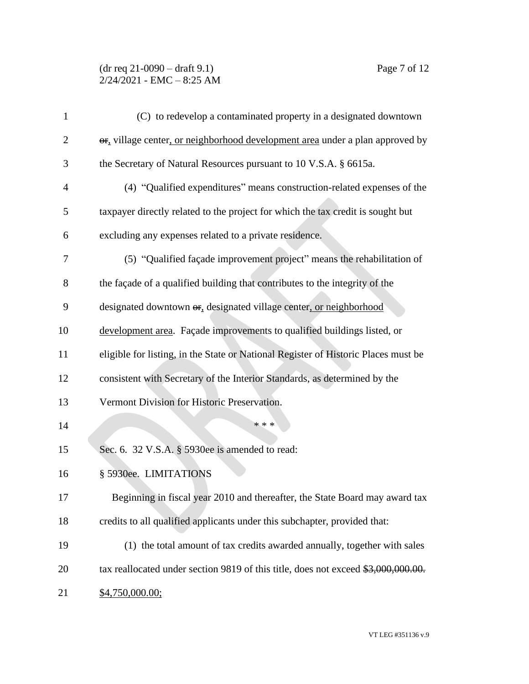## (dr req 21-0090 – draft 9.1) Page 7 of 12  $2/24/2021$  - EMC - 8:25 AM

| 1              | (C) to redevelop a contaminated property in a designated downtown                  |  |
|----------------|------------------------------------------------------------------------------------|--|
| $\overline{2}$ | or, village center, or neighborhood development area under a plan approved by      |  |
| 3              | the Secretary of Natural Resources pursuant to 10 V.S.A. § 6615a.                  |  |
| 4              | (4) "Qualified expenditures" means construction-related expenses of the            |  |
| 5              | taxpayer directly related to the project for which the tax credit is sought but    |  |
| 6              | excluding any expenses related to a private residence.                             |  |
| 7              | (5) "Qualified façade improvement project" means the rehabilitation of             |  |
| 8              | the façade of a qualified building that contributes to the integrity of the        |  |
| 9              | designated downtown or, designated village center, or neighborhood                 |  |
| 10             | development area. Façade improvements to qualified buildings listed, or            |  |
| 11             | eligible for listing, in the State or National Register of Historic Places must be |  |
| 12             | consistent with Secretary of the Interior Standards, as determined by the          |  |
| 13             | Vermont Division for Historic Preservation.                                        |  |
| 14             | * * *                                                                              |  |
| 15             | Sec. 6. 32 V.S.A. § 5930ee is amended to read:                                     |  |
| 16             | § 5930ee. LIMITATIONS                                                              |  |
| 17             | Beginning in fiscal year 2010 and thereafter, the State Board may award tax        |  |
| 18             | credits to all qualified applicants under this subchapter, provided that:          |  |
| 19             | (1) the total amount of tax credits awarded annually, together with sales          |  |
| 20             | tax reallocated under section 9819 of this title, does not exceed \$3,000,000.00.  |  |
| 21             | \$4,750,000.00;                                                                    |  |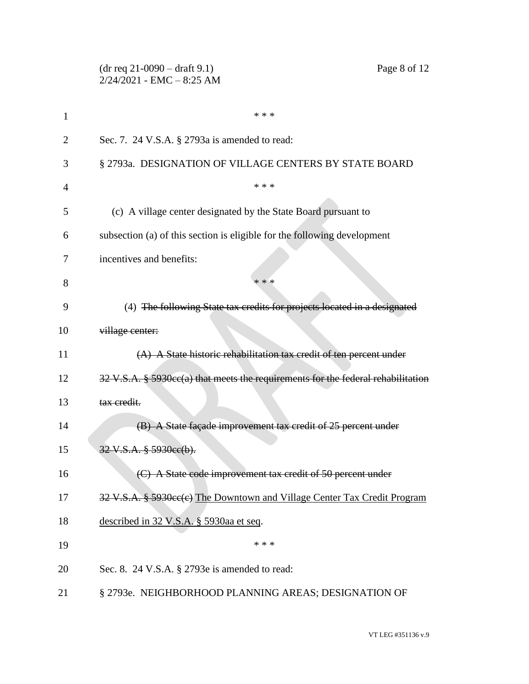|                | Page 8 of 12<br>$(dr \text{ req } 21-0090 - draft 9.1)$<br>$2/24/2021$ - EMC - 8:25 AM                |  |
|----------------|-------------------------------------------------------------------------------------------------------|--|
| 1              | * * *                                                                                                 |  |
| $\overline{2}$ | Sec. 7. 24 V.S.A. § 2793a is amended to read:                                                         |  |
| 3              | § 2793a. DESIGNATION OF VILLAGE CENTERS BY STATE BOARD                                                |  |
| 4              | * * *                                                                                                 |  |
| 5              | (c) A village center designated by the State Board pursuant to                                        |  |
| 6              | subsection (a) of this section is eligible for the following development                              |  |
| 7              | incentives and benefits:                                                                              |  |
| 8              | * * *                                                                                                 |  |
| 9              | (4) The following State tax credits for projects located in a designated                              |  |
| 10             | village center:                                                                                       |  |
| 11             | (A) A State historic rehabilitation tax credit of ten percent under                                   |  |
| 12             | $32 \text{ V.S.A. }$ § 5930 $\text{cc}(a)$ that meets the requirements for the federal rehabilitation |  |
| 13             | tax credit.                                                                                           |  |
| 14             | (B) A State façade improvement tax credit of 25 percent under                                         |  |
| 15             | 32 V.S.A. § 5930ee(b).                                                                                |  |
| 16             | A State code improvement tax credit of 50 percent under                                               |  |
| 17             | 32 V.S.A. § 5930ce(e) The Downtown and Village Center Tax Credit Program                              |  |
| 18             | described in 32 V.S.A. § 5930aa et seq.                                                               |  |
| 19             | * * *                                                                                                 |  |
| 20             | Sec. 8. 24 V.S.A. § 2793e is amended to read:                                                         |  |
| 21             | § 2793e. NEIGHBORHOOD PLANNING AREAS; DESIGNATION OF                                                  |  |

VT LEG #351136 v.9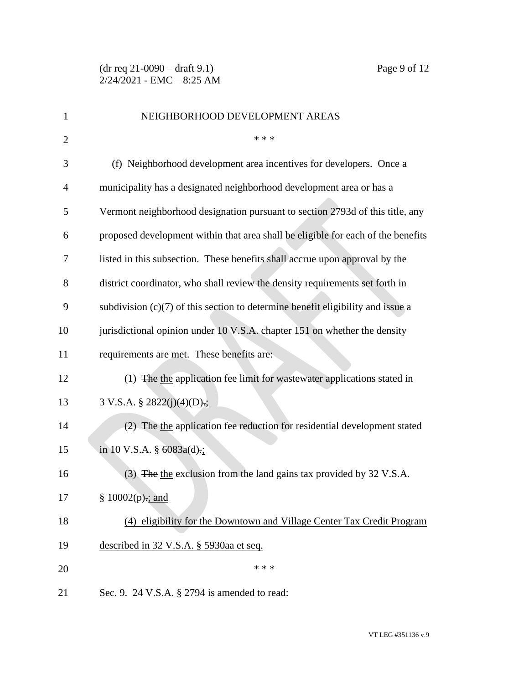| 1              | NEIGHBORHOOD DEVELOPMENT AREAS                                                    |  |
|----------------|-----------------------------------------------------------------------------------|--|
| $\overline{2}$ | * * *                                                                             |  |
| 3              | (f) Neighborhood development area incentives for developers. Once a               |  |
| $\overline{4}$ | municipality has a designated neighborhood development area or has a              |  |
| 5              | Vermont neighborhood designation pursuant to section 2793d of this title, any     |  |
| 6              | proposed development within that area shall be eligible for each of the benefits  |  |
| 7              | listed in this subsection. These benefits shall accrue upon approval by the       |  |
| 8              | district coordinator, who shall review the density requirements set forth in      |  |
| 9              | subdivision $(c)(7)$ of this section to determine benefit eligibility and issue a |  |
| 10             | jurisdictional opinion under 10 V.S.A. chapter 151 on whether the density         |  |
| 11             | requirements are met. These benefits are:                                         |  |
| 12             | (1) The the application fee limit for wastewater applications stated in           |  |
| 13             | 3 V.S.A. § 2822(j)(4)(D)- $\frac{1}{2}$                                           |  |
| 14             | (2) The the application fee reduction for residential development stated          |  |
| 15             | in 10 V.S.A. $\S$ 6083a(d).;                                                      |  |
| 16             | (3) The the exclusion from the land gains tax provided by 32 V.S.A.               |  |
| 17             | § $10002(p)$ ; and                                                                |  |
| 18             | (4) eligibility for the Downtown and Village Center Tax Credit Program            |  |
| 19             | described in 32 V.S.A. § 5930aa et seq.                                           |  |
| 20             | * * *                                                                             |  |
| 21             | Sec. 9. 24 V.S.A. § 2794 is amended to read:                                      |  |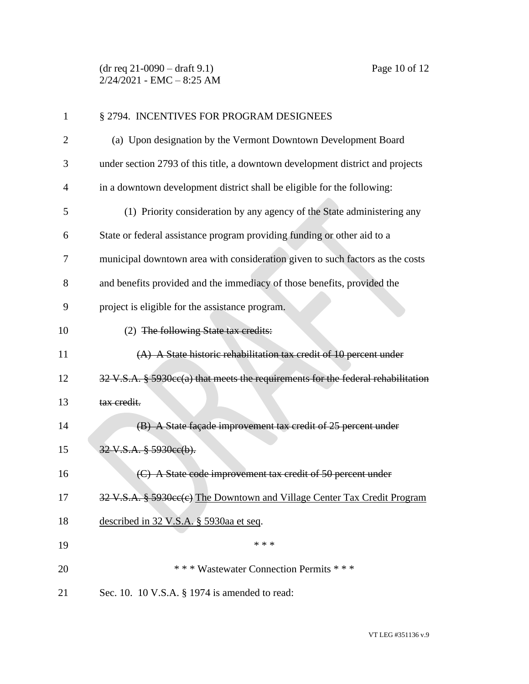(dr req 21-0090 – draft 9.1) Page 10 of 12 2/24/2021 - EMC – 8:25 AM

| $\mathbf{1}$   | § 2794. INCENTIVES FOR PROGRAM DESIGNEES                                         |  |
|----------------|----------------------------------------------------------------------------------|--|
| $\overline{2}$ | (a) Upon designation by the Vermont Downtown Development Board                   |  |
| 3              | under section 2793 of this title, a downtown development district and projects   |  |
| 4              | in a downtown development district shall be eligible for the following:          |  |
| 5              | (1) Priority consideration by any agency of the State administering any          |  |
| 6              | State or federal assistance program providing funding or other aid to a          |  |
| 7              | municipal downtown area with consideration given to such factors as the costs    |  |
| 8              | and benefits provided and the immediacy of those benefits, provided the          |  |
| 9              | project is eligible for the assistance program.                                  |  |
| 10             | (2) The following State tax credits:                                             |  |
| 11             | (A) A State historic rehabilitation tax credit of 10 percent under               |  |
| 12             | 32 V.S.A. § 5930cc(a) that meets the requirements for the federal rehabilitation |  |
| 13             | tax credit.                                                                      |  |
| 14             | (B) A State façade improvement tax credit of 25 percent under                    |  |
| 15             | 32 V.S.A. § 5930ee(b).                                                           |  |
| 16             | (C) A State code improvement tax credit of 50 percent under                      |  |
| 17             | 32 V.S.A. § 5930ee(e) The Downtown and Village Center Tax Credit Program         |  |
| 18             | described in 32 V.S.A. § 5930aa et seq.                                          |  |
| 19             | * * *                                                                            |  |
| 20             | *** Wastewater Connection Permits ***                                            |  |
| 21             | Sec. 10. 10 V.S.A. § 1974 is amended to read:                                    |  |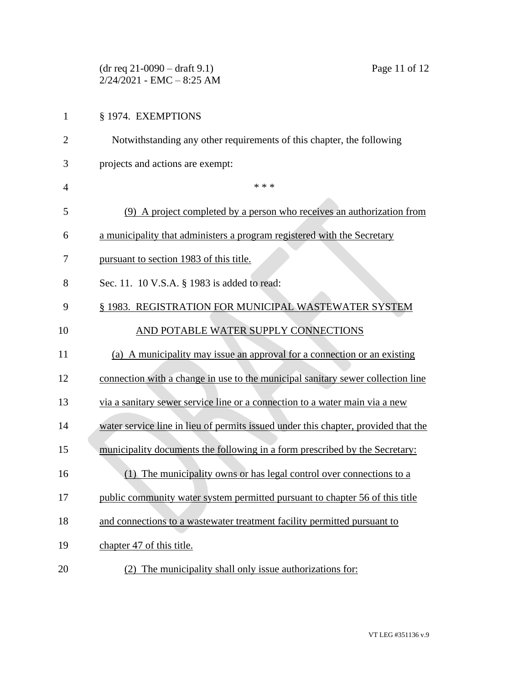|                | $(dr \text{ req } 21-0090 - draft 9.1)$<br>Page 11 of 12<br>$2/24/2021$ - EMC - 8:25 AM |
|----------------|-----------------------------------------------------------------------------------------|
| $\mathbf{1}$   | § 1974. EXEMPTIONS                                                                      |
| $\overline{2}$ | Notwithstanding any other requirements of this chapter, the following                   |
| 3              | projects and actions are exempt:                                                        |
| 4              | * * *                                                                                   |
| 5              | (9) A project completed by a person who receives an authorization from                  |
| 6              | a municipality that administers a program registered with the Secretary                 |
| 7              | pursuant to section 1983 of this title.                                                 |
| 8              | Sec. 11. 10 V.S.A. § 1983 is added to read:                                             |
| 9              | § 1983. REGISTRATION FOR MUNICIPAL WASTEWATER SYSTEM                                    |
| 10             | AND POTABLE WATER SUPPLY CONNECTIONS                                                    |
| 11             | (a) A municipality may issue an approval for a connection or an existing                |
| 12             | connection with a change in use to the municipal sanitary sewer collection line         |
| 13             | via a sanitary sewer service line or a connection to a water main via a new             |
| 14             | water service line in lieu of permits issued under this chapter, provided that the      |
| 15             | municipality documents the following in a form prescribed by the Secretary:             |
| 16             | The municipality owns or has legal control over connections to a<br>(1)                 |
| 17             | public community water system permitted pursuant to chapter 56 of this title            |
| 18             | and connections to a wastewater treatment facility permitted pursuant to                |
| 19             | chapter 47 of this title.                                                               |
| 20             | (2) The municipality shall only issue authorizations for:                               |